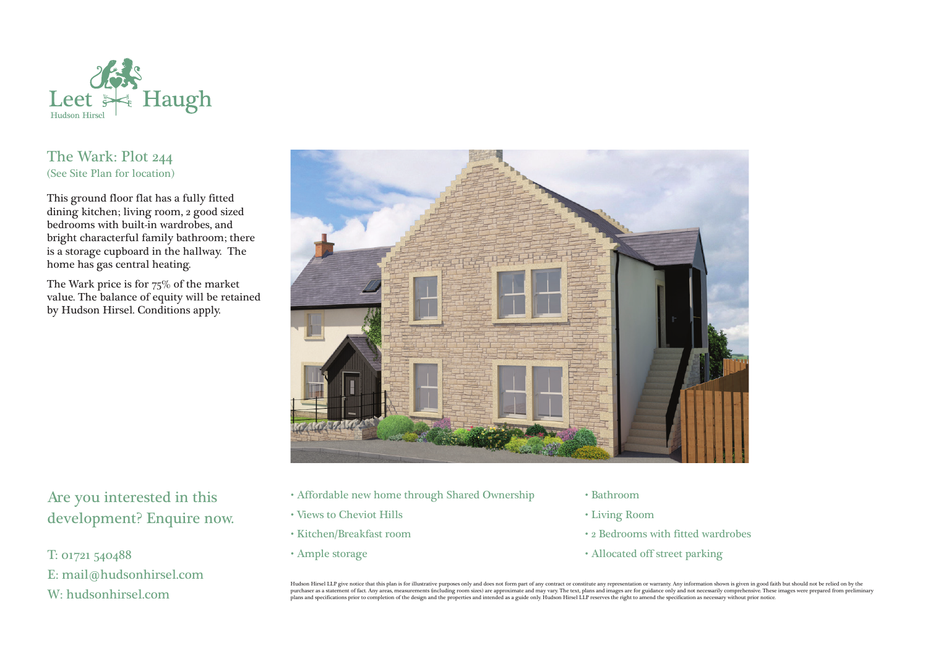

## The Wark: Plot 244 (See Site Plan for location)

This ground floor flat has a fully fitted dining kitchen; living room, 2 good sized bedrooms with built-in wardrobes, and bright characterful family bathroom; there is a storage cupboard in the hallway. The home has gas central heating.

The Wark price is for 75% of the market value. The balance of equity will be retained by Hudson Hirsel. Conditions apply.



Are you interested in this development? Enquire now.

T: 01721 540488 E: mail@hudsonhirsel.com W: hudsonhirsel.com

- Affordable new home through Shared Ownership
- Views to Cheviot Hills
- Kitchen/Breakfast room
- Ample storage
- Bathroom
- Living Room
- 2 Bedrooms with fitted wardrobes
- Allocated off street parking

Hudson Hirsel LLP give notice that this plan is for illustrative purposes only and does not form part of any contract or constitute any representation or warranty. Any information shown is given in good faith but should no purchaser as a statement of fact. Any areas, measurements (including room sizes) are approximate and may vary. The text, plans and images are for guidance only and not necessarily comprehensive. These images were prepared